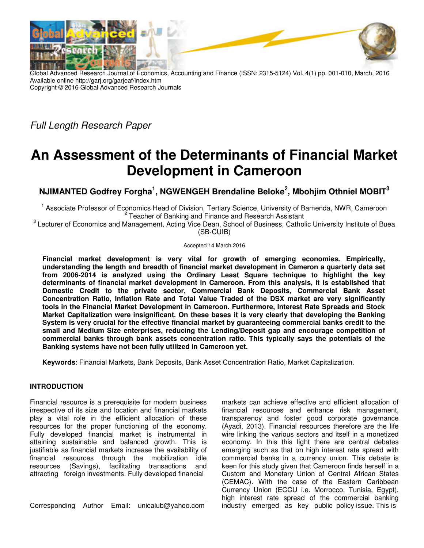

Global Advanced Research Journal of Economics, Accounting and Finance (ISSN: 2315-5124) Vol. 4(1) pp. 001-010, March, 2016 Available online http://garj.org/garjeaf/index.htm Copyright © 2016 Global Advanced Research Journals

*Full Length Research Paper* 

# **An Assessment of the Determinants of Financial Market Development in Cameroon**

**NJIMANTED Godfrey Forgha<sup>1</sup> , NGWENGEH Brendaline Beloke<sup>2</sup> , Mbohjim Othniel MOBIT<sup>3</sup>**

<sup>1</sup> Associate Professor of Economics Head of Division, Tertiary Science, University of Bamenda, NWR, Cameroon <sup>2</sup> Teacher of Banking and Finance and Research Assistant

<sup>3</sup> Lecturer of Economics and Management, Acting Vice Dean, School of Business, Catholic University Institute of Buea (SB-CUIB)

Accepted 14 March 2016

**Financial market development is very vital for growth of emerging economies. Empirically, understanding the length and breadth of financial market development in Cameron a quarterly data set from 2006-2014 is analyzed using the Ordinary Least Square technique to highlight the key determinants of financial market development in Cameroon. From this analysis, it is established that Domestic Credit to the private sector, Commercial Bank Deposits, Commercial Bank Asset Concentration Ratio, Inflation Rate and Total Value Traded of the DSX market are very significantly tools in the Financial Market Development in Cameroon. Furthermore, Interest Rate Spreads and Stock Market Capitalization were insignificant. On these bases it is very clearly that developing the Banking System is very crucial for the effective financial market by guaranteeing commercial banks credit to the small and Medium Size enterprises, reducing the Lending/Deposit gap and encourage competition of commercial banks through bank assets concentration ratio. This typically says the potentials of the Banking systems have not been fully utilized in Cameroon yet.** 

**Keywords**: Financial Markets, Bank Deposits, Bank Asset Concentration Ratio, Market Capitalization.

# **INTRODUCTION**

Financial resource is a prerequisite for modern business irrespective of its size and location and financial markets play a vital role in the efficient allocation of these resources for the proper functioning of the economy. Fully developed financial market is instrumental in attaining sustainable and balanced growth. This is justifiable as financial markets increase the availability of financial resources through the mobilization idle resources (Savings), facilitating transactions and attracting foreign investments. Fully developed financial

Corresponding Author Email: unicalub@yahoo.com

markets can achieve effective and efficient allocation of financial resources and enhance risk management, transparency and foster good corporate governance (Ayadi, 2013). Financial resources therefore are the life wire linking the various sectors and itself in a monetized economy. In this this light there are central debates emerging such as that on high interest rate spread with commercial banks in a currency union. This debate is keen for this study given that Cameroon finds herself in a Custom and Monetary Union of Central African States (CEMAC). With the case of the Eastern Caribbean Currency Union (ECCU i.e. Morrocco, Tunisia, Egypt), high interest rate spread of the commercial banking industry emerged as key public policy issue. This is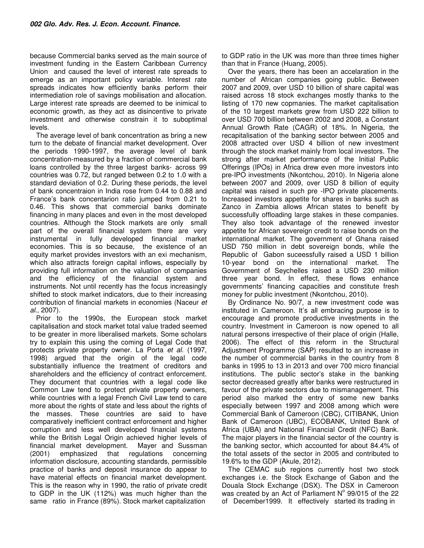because Commercial banks served as the main source of investment funding in the Eastern Caribbean Currency Union and caused the level of interest rate spreads to emerge as an important policy variable. Interest rate spreads indicates how efficiently banks perform their intermediation role of savings mobilisation and allocation. Large interest rate spreads are deemed to be inimical to economic growth, as they act as disincentive to private investment and otherwise constrain it to suboptimal levels.

The average level of bank concentration as bring a new turn to the debate of financial market development. Over the periods 1990-1997, the average level of bank concentration-measured by a fraction of commercial bank loans controlled by the three largest banks- across 99 countries was 0.72, but ranged between 0.2 to 1.0 with a standard deviation of 0.2. During these periods, the level of bank concentraion in India rose from 0.44 to 0.88 and France's bank concentarion ratio jumped from 0.21 to 0.46. This shows that commercial banks dominate financing in many places and even in the most developed countries. Although the Stock markets are only small part of the overall financial system there are very instrumental in fully developed financial market economies. This is so because, the existence of an equity market provides investors with an exi mechanism, which also attracts foreign capital inflows, especially by providing full information on the valuation of companies and the efficiency of the financial system and instruments. Not until recently has the focus increasingly shifted to stock market indicators, due to their increasing contribution of financial markets in economies (Naceur *et al*., 2007).

Prior to the 1990s, the European stock market capitalisation and stock market total value traded seemed to be greater in more liberalised markets. Some scholars try to explain this using the coming of Legal Code that protects private property owner. La Porta *et al*. (1997, 1998) argued that the origin of the legal code substantially influence the treatment of creditors and shareholders and the efficiency of contract enforcement. They document that countries with a legal code like Common Law tend to protect private property owners, while countries with a legal French Civil Law tend to care more about the rights of state and less about the rights of the masses. These countries are said to have comparatively inefficient contract enforcement and higher corruption and less well developed financial systems while the British Legal Origin achieved higher levels of financial market development. Mayer and Sussman (2001) emphasized that regulations concerning information disclosure, accounting standards, permissible practice of banks and deposit insurance do appear to have material effects on financial market development. This is the reason why in 1990, the ratio of private credit to GDP in the UK (112%) was much higher than the same ratio in France (89%). Stock market capitalization

to GDP ratio in the UK was more than three times higher than that in France (Huang, 2005).

Over the years, there has been an accelaration in the number of African companies going public. Between 2007 and 2009, over USD 10 billion of share capital was raised across 18 stock exchanges mostly thanks to the listing of 170 new copmanies. The market capitalisation of the 10 largest markets grew from USD 222 billion to over USD 700 billion between 2002 and 2008, a Constant Annual Growth Rate (CAGR) of 18%. In Nigeria, the recapitalisation of the banking sector between 2005 and 2008 attracted over USD 4 billion of new investment through the stock market mainly from local investors. The strong after market performance of the Initial Public Offerings (IPOs) in Africa drew even more investors into pre-IPO investments (Nkontchou, 2010). In Nigeria alone between 2007 and 2009, over USD 8 billion of equity capital was raised in such pre -IPO private placements. Increased investors appetite for shares in banks such as Zanco in Zambia allows African states to benefit by successfully offloading large stakes in these companies. They also took advantage of the renewed investor appetite for African sovereign credit to raise bonds on the international market. The government of Ghana raised USD 750 million in debt sovereign bonds, while the Republic of Gabon suceessfully raised a USD 1 billion 10-year bond on the international market. The Government of Seychelles raised a USD 230 million three year bond. In effect, these flows enhance governments' financing capacities and constitute fresh money for public investment (Nkontchou, 2010).

By Ordinance No. 90/7, a new investment code was instituted in Cameroon. It's all embracing purpose is to encourage and promote productive investments in the country. Investment in Cameroon is now opened to all natural persons irrespective of their place of origin (Halle, 2006). The effect of this reform in the Structural Adjustment Programme (SAP) resulted to an increase in the number of commercial banks in the country from 8 banks in 1995 to 13 in 2013 and over 700 micro financial institutions. The public sector's stake in the banking sector decreased greatly after banks were restructured in favour of the private sectors due to mismanagement. This period also marked the entry of some new banks especially between 1997 and 2008 among which were Commercial Bank of Cameroon (CBC), CITIBANK, Union Bank of Cameroon (UBC), ECOBANK, United Bank of Africa (UBA) and National Financial Credit (NFC) Bank. The major players in the financial sector of the country is the banking sector, which accounted for about 84.4% of the total assets of the sector in 2005 and contributed to 19.6% to the GDP (Akule, 2012).

The CEMAC sub regions currently host two stock exchanges i.e. the Stock Exchange of Gabon and the Douala Stock Exchange (DSX). The DSX in Cameroon was created by an Act of Parliament  $N^{\circ}$  99/015 of the 22 of December1999. It effectively started its trading in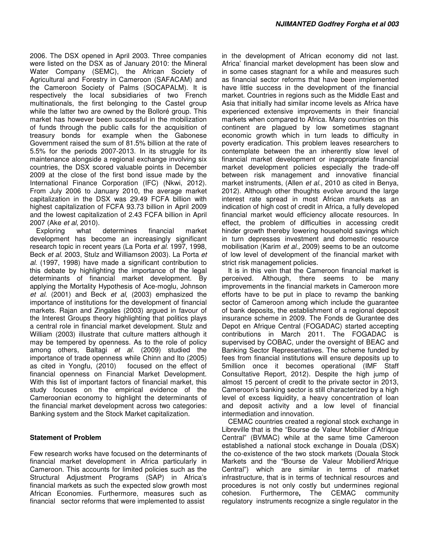2006. The DSX opened in April 2003. Three companies were listed on the DSX as of January 2010: the Mineral Water Company (SEMC), the African Society of Agricultural and Forestry in Cameroon (SAFACAM) and the Cameroon Society of Palms (SOCAPALM). It is respectively the local subsidiaries of two French multinationals, the first belonging to the Castel group while the latter two are owned by the Bolloré group. This market has however been successful in the mobilization of funds through the public calls for the acquisition of treasury bonds for example when the Gabonese Government raised the sum of 81.5% billion at the rate of 5.5% for the periods 2007-2013. In its struggle for its maintenance alongside a regional exchange involving six countries, the DSX scored valuable points in December 2009 at the close of the first bond issue made by the International Finance Corporation (IFC) (Nkwi, 2012). From July 2006 to January 2010, the average market capitalization in the DSX was 29.49 FCFA billion with highest capitalization of FCFA 93.73 billion in April 2009 and the lowest capitalization of 2.43 FCFA billion in April 2007 (Ake *et al*, 2010).

Exploring what determines financial market development has become an increasingly significant research topic in recent years (La Porta *et al*. 1997, 1998, Beck *et al*. 2003, Stulz and Williamson 2003). La Porta *et al*. (1997, 1998) have made a significant contribution to this debate by highlighting the importance of the legal determinants of financial market development. By applying the Mortality Hypothesis of Ace-moglu, Johnson *et al.* (2001) and Beck *et al*, (2003) emphasized the importance of institutions for the development of financial markets. Rajan and Zingales (2003) argued in favour of the Interest Groups theory highlighting that politics plays a central role in financial market development. Stulz and William (2003) illustrate that culture matters although it may be tempered by openness. As to the role of policy among others, Baltagi *et al.* (2009) studied the importance of trade openness while Chinn and Ito (2005) as cited in Yongfu, (2010) focused on the effect of financial openness on Financial Market Development. With this list of important factors of financial market, this study focuses on the empirical evidence of the Cameroonian economy to highlight the determinants of the financial market development across two categories: Banking system and the Stock Market capitalization.

#### **Statement of Problem**

Few research works have focused on the determinants of financial market development in Africa particularly in Cameroon. This accounts for limited policies such as the Structural Adjustment Programs (SAP) in Africa's financial markets as such the expected slow growth most African Economies. Furthermore, measures such as financial sector reforms that were implemented to assist

in the development of African economy did not last. Africa' financial market development has been slow and in some cases stagnant for a while and measures such as financial sector reforms that have been implemented have little success in the development of the financial market. Countries in regions such as the Middle East and Asia that initially had similar income levels as Africa have experienced extensive improvements in their financial markets when compared to Africa. Many countries on this continent are plagued by low sometimes stagnant economic growth which in turn leads to difficulty in poverty eradication. This problem leaves researchers to contemplate between the an inherently slow level of financial market development or inappropriate financial market development policies especially the trade-off between risk management and innovative financial market instruments, (Allen *et al*., 2010 as cited in Benya, 2012). Although other thoughts evolve around the large interest rate spread in most African markets as an indication of high cost of credit in Africa, a fully developed financial market would efficiency allocate resources. In effect, the problem of difficulties in accessing credit hinder growth thereby lowering household savings which in turn depresses investment and domestic resource mobilisation (Karim *et al*., 2009) seems to be an outcome of low level of development of the financial market with strict risk management policies.

It is in this vein that the Cameroon financial market is perceived. Although, there seems to be many improvements in the financial markets in Cameroon more efforts have to be put in place to revamp the banking sector of Cameroon among which include the guarantee of bank deposits, the establishment of a regional deposit insurance scheme in 2009. The Fonds de Gurantee des Depot en Afrique Central (FOGADAC) started accepting contributions in March 2011. The FOGADAC is supervised by COBAC, under the oversight of BEAC and Banking Sector Representatives. The scheme funded by fees from financial institutions will ensure deposits up to 5million once it becomes operational (IMF Staff Consultative Report, 2012). Despite the high jump of almost 15 percent of credit to the private sector in 2013, Cameroon's banking sector is still characterized by a high level of excess liquidity, a heavy concentration of loan and deposit activity and a low level of financial intermediation and innovation.

CEMAC countries created a regional stock exchange in Libreville that is the "Bourse de Valeur Mobilier d'Afrique Central" (BVMAC) while at the same time Cameroon established a national stock exchange in Douala (DSX) the co-existence of the two stock markets (Douala Stock Markets and the "Bourse de Valeur Mobilierd'Afrique Central") which are similar in terms of market infrastructure, that is in terms of technical resources and procedures is not only costly but undermines regional cohesion. Furthermore**,** The CEMAC community regulatory instruments recognize a single regulator in the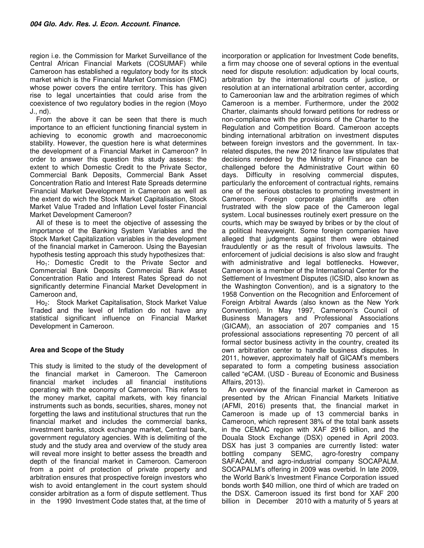region i.e. the Commission for Market Surveillance of the Central African Financial Markets (COSUMAF) while Cameroon has established a regulatory body for its stock market which is the Financial Market Commission (FMC) whose power covers the entire territory. This has given rise to legal uncertainties that could arise from the coexistence of two regulatory bodies in the region (Moyo J., nd).

From the above it can be seen that there is much importance to an efficient functioning financial system in achieving to economic growth and macroeconomic stability. However, the question here is what determines the development of a Financial Market in Cameroon? In order to answer this question this study assess: the extent to which Domestic Credit to the Private Sector, Commercial Bank Deposits, Commercial Bank Asset Concentration Ratio and Interest Rate Spreads determine Financial Market Development in Cameroon as well as the extent do wich the Stock Market Capitalisation, Stock Market Value Traded and Inflation Level foster Financial Market Development Cameroon?

All of these is to meet the objective of assessing the importance of the Banking System Variables and the Stock Market Capitalization variables in the development of the financial market in Cameroon. Using the Bayesian hypothesis testing approach this study hypothesizes that:

Ho<sub>1</sub>: Domestic Credit to the Private Sector and Commercial Bank Deposits Commercial Bank Asset Concentration Ratio and Interest Rates Spread do not significantly determine Financial Market Development in Cameroon and,

Ho<sub>2</sub>: Stock Market Capitalisation, Stock Market Value Traded and the level of Inflation do not have any statistical significant influence on Financial Market Development in Cameroon.

# **Area and Scope of the Study**

This study is limited to the study of the development of the financial market in Cameroon. The Cameroon financial market includes all financial institutions operating with the economy of Cameroon. This refers to the money market, capital markets, with key financial instruments such as bonds, securities, shares, money not forgetting the laws and institutional structures that run the financial market and includes the commercial banks, investment banks, stock exchange market, Central bank, government regulatory agencies. With is delimiting of the study and the study area and overview of the study area will reveal more insight to better assess the breadth and depth of the financial market in Cameroon. Cameroon from a point of protection of private property and arbitration ensures that prospective foreign investors who wish to avoid entanglement in the court system should consider arbitration as a form of dispute settlement. Thus in the 1990 Investment Code states that, at the time of

incorporation or application for Investment Code benefits, a firm may choose one of several options in the eventual need for dispute resolution: adjudication by local courts, arbitration by the international courts of justice, or resolution at an international arbitration center, according to Cameroonian law and the arbitration regimes of which Cameroon is a member. Furthermore, under the 2002 Charter, claimants should forward petitions for redress or non-compliance with the provisions of the Charter to the Regulation and Competition Board. Cameroon accepts binding international arbitration on investment disputes between foreign investors and the government. In taxrelated disputes, the new 2012 finance law stipulates that decisions rendered by the Ministry of Finance can be challenged before the Administrative Court within 60 days. Difficulty in resolving commercial disputes, particularly the enforcement of contractual rights, remains one of the serious obstacles to promoting investment in Cameroon. Foreign corporate plaintiffs are often frustrated with the slow pace of the Cameroon legal system. Local businesses routinely exert pressure on the courts, which may be swayed by bribes or by the clout of a political heavyweight. Some foreign companies have alleged that judgments against them were obtained fraudulently or as the result of frivolous lawsuits. The enforcement of judicial decisions is also slow and fraught with administrative and legal bottlenecks. However, Cameroon is a member of the International Center for the Settlement of Investment Disputes (ICSID, also known as the Washington Convention), and is a signatory to the 1958 Convention on the Recognition and Enforcement of Foreign Arbitral Awards (also known as the New York Convention). In May 1997, Cameroon's Council of Business Managers and Professional Associations (GICAM), an association of 207 companies and 15 professional associations representing 70 percent of all formal sector business activity in the country, created its own arbitration center to handle business disputes. In 2011, however, approximately half of GICAM's members separated to form a competing business association called "eCAM. (USD - Bureau of Economic and Business Affairs, 2013).

An overview of the financial market in Cameroon as presented by the African Financial Markets Initiative (AFMI, 2016) presents that, the financial market in Cameroon is made up of 13 commercial banks in Cameroon, which represent 38% of the total bank assets in the CEMAC region with XAF 2916 billion, and the Douala Stock Exchange (DSX) opened in April 2003. DSX has just 3 companies are currently listed: water bottling company SEMC, agro-forestry company SAFACAM, and agro-industrial company SOCAPALM. SOCAPALM's offering in 2009 was overbid. In late 2009, the World Bank's Investment Finance Corporation issued bonds worth \$40 million, one third of which are traded on the DSX. Cameroon issued its first bond for XAF 200 billion in December 2010 with a maturity of 5 years at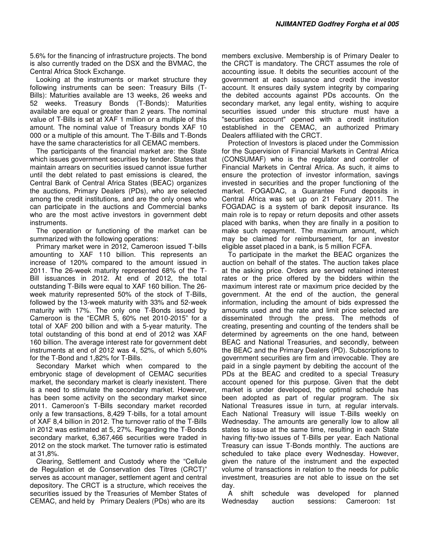5.6% for the financing of infrastructure projects. The bond is also currently traded on the DSX and the BVMAC, the Central Africa Stock Exchange.

Looking at the instruments or market structure they following instruments can be seen: Treasury Bills (T-Bills): Maturities available are 13 weeks, 26 weeks and 52 weeks. Treasury Bonds (T-Bonds): Maturities available are equal or greater than 2 years. The nominal value of T-Bills is set at XAF 1 million or a multiple of this amount. The nominal value of Treasury bonds XAF 10 000 or a multiple of this amount. The T-Bills and T-Bonds have the same characteristics for all CEMAC members.

The participants of the financial market are: the State which issues government securities by tender. States that maintain arrears on securities issued cannot issue further until the debt related to past emissions is cleared, the Central Bank of Central Africa States (BEAC) organizes the auctions, Primary Dealers (PDs), who are selected among the credit institutions, and are the only ones who can participate in the auctions and Commercial banks who are the most active investors in government debt instruments.

The operation or functioning of the market can be summarized with the following operations:

Primary market were in 2012, Cameroon issued T-bills amounting to XAF 110 billion. This represents an increase of 120% compared to the amount issued in 2011. The 26-week maturity represented 68% of the T-Bill issuances in 2012. At end of 2012, the total outstanding T-Bills were equal to XAF 160 billion. The 26 week maturity represented 50% of the stock of T-Bills, followed by the 13-week maturity with 33% and 52-week maturity with 17%. The only one T-Bonds issued by Cameroon is the "ECMR 5, 60% net 2010-2015" for a total of XAF 200 billion and with a 5-year maturity. The total outstanding of this bond at end of 2012 was XAF 160 billion. The average interest rate for government debt instruments at end of 2012 was 4, 52%, of which 5,60% for the T-Bond and 1,82% for T-Bills.

Secondary Market which when compared to the embryonic stage of development of CEMAC securities market, the secondary market is clearly inexistent. There is a need to stimulate the secondary market. However, has been some activity on the secondary market since 2011. Cameroon's T-Bills secondary market recorded only a few transactions, 8,429 T-bills, for a total amount of XAF 8,4 billion in 2012. The turnover ratio of the T-Bills in 2012 was estimated at 5, 27%. Regarding the T-Bonds secondary market, 6,367,466 securities were traded in 2012 on the stock market. The turnover ratio is estimated at 31,8%.

Clearing, Settlement and Custody where the "Cellule de Regulation et de Conservation des Titres (CRCT)" serves as account manager, settlement agent and central depository. The CRCT is a structure, which receives the securities issued by the Treasuries of Member States of CEMAC, and held by Primary Dealers (PDs) who are its

members exclusive. Membership is of Primary Dealer to the CRCT is mandatory. The CRCT assumes the role of accounting issue. It debits the securities account of the government at each issuance and credit the investor account. It ensures daily system integrity by comparing the debited accounts against PDs accounts. On the secondary market, any legal entity, wishing to acquire securities issued under this structure must have a "securities account" opened with a credit institution established in the CEMAC, an authorized Primary Dealers affiliated with the CRCT.

Protection of Investors is placed under the Commission for the Supervision of Financial Markets in Central Africa (CONSUMAF) who is the regulator and controller of Financial Markets in Central Africa. As such, it aims to ensure the protection of investor information, savings invested in securities and the proper functioning of the market. FOGADAC, a Guarantee Fund deposits in Central Africa was set up on 21 February 2011. The FOGADAC is a system of bank deposit insurance. Its main role is to repay or return deposits and other assets placed with banks, when they are finally in a position to make such repayment. The maximum amount, which may be claimed for reimbursement, for an investor eligible asset placed in a bank, is 5 million FCFA.

To participate in the market the BEAC organizes the auction on behalf of the states. The auction takes place at the asking price. Orders are served retained interest rates or the price offered by the bidders within the maximum interest rate or maximum price decided by the government. At the end of the auction, the general information, including the amount of bids expressed the amounts used and the rate and limit price selected are disseminated through the press. The methods of creating, presenting and counting of the tenders shall be determined by agreements on the one hand, between BEAC and National Treasuries, and secondly, between the BEAC and the Primary Dealers (PD). Subscriptions to government securities are firm and irrevocable. They are paid in a single payment by debiting the account of the PDs at the BEAC and credited to a special Treasury account opened for this purpose. Given that the debt market is under developed, the optimal schedule has been adopted as part of regular program. The six National Treasures issue in turn, at regular intervals. Each National Treasury will issue T-Bills weekly on Wednesday. The amounts are generally low to allow all states to issue at the same time, resulting in each State having fifty-two issues of T-Bills per year. Each National Treasury can issue T-Bonds monthly. The auctions are scheduled to take place every Wednesday. However, given the nature of the instrument and the expected volume of transactions in relation to the needs for public investment, treasuries are not able to issue on the set day.

A shift schedule was developed for planned Wednesday auction sessions: Cameroon: 1st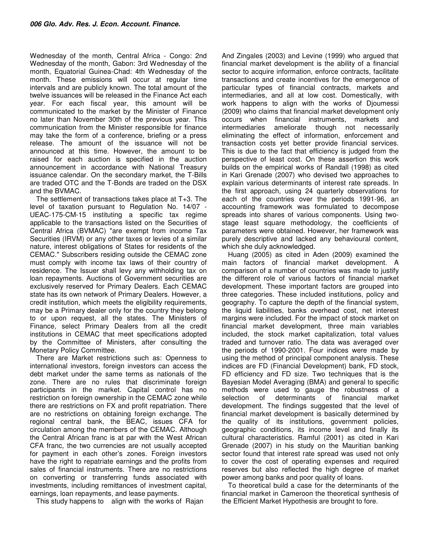Wednesday of the month, Central Africa - Congo: 2nd Wednesday of the month, Gabon: 3rd Wednesday of the month, Equatorial Guinea-Chad: 4th Wednesday of the month. These emissions will occur at regular time intervals and are publicly known. The total amount of the twelve issuances will be released in the Finance Act each year. For each fiscal year, this amount will be communicated to the market by the Minister of Finance no later than November 30th of the previous year. This communication from the Minister responsible for finance may take the form of a conference, briefing or a press release. The amount of the issuance will not be announced at this time. However, the amount to be raised for each auction is specified in the auction announcement in accordance with National Treasury issuance calendar. On the secondary market, the T-Bills are traded OTC and the T-Bonds are traded on the DSX and the BVMAC.

The settlement of transactions takes place at T+3. The level of taxation pursuant to Regulation No. 14/07 - UEAC-175-CM-15 instituting a specific tax regime applicable to the transactions listed on the Securities of Central Africa (BVMAC) "are exempt from income Tax Securities (IRVM) or any other taxes or levies of a similar nature, interest obligations of States for residents of the CEMAC." Subscribers residing outside the CEMAC zone must comply with income tax laws of their country of residence. The Issuer shall levy any withholding tax on loan repayments. Auctions of Government securities are exclusively reserved for Primary Dealers. Each CEMAC state has its own network of Primary Dealers. However, a credit institution, which meets the eligibility requirements, may be a Primary dealer only for the country they belong to or upon request, all the states. The Ministers of Finance, select Primary Dealers from all the credit institutions in CEMAC that meet specifications adopted by the Committee of Ministers, after consulting the Monetary Policy Committee.

There are Market restrictions such as: Openness to international investors, foreign investors can access the debt market under the same terms as nationals of the zone. There are no rules that discriminate foreign participants in the market. Capital control has no restriction on foreign ownership in the CEMAC zone while there are restrictions on FX and profit repatriation. There are no restrictions on obtaining foreign exchange. The regional central bank, the BEAC, issues CFA for circulation among the members of the CEMAC. Although the Central African franc is at par with the West African CFA franc, the two currencies are not usually accepted for payment in each other's zones. Foreign investors have the right to repatriate earnings and the profits from sales of financial instruments. There are no restrictions on converting or transferring funds associated with investments, including remittances of investment capital, earnings, loan repayments, and lease payments.

This study happens to align with the works of Rajan

And Zingales (2003) and Levine (1999) who argued that financial market development is the ability of a financial sector to acquire information, enforce contracts, facilitate transactions and create incentives for the emergence of particular types of financial contracts, markets and intermediaries, and all at low cost. Domestically, with work happens to align with the works of Djoumessi (2009) who claims that financial market development only occurs when financial instruments, markets and intermediaries ameliorate though not necessarily eliminating the effect of information, enforcement and transaction costs yet better provide financial services. This is due to the fact that efficiency is judged from the perspective of least cost. On these assertion this work builds on the empirical works of Randall (1998) as cited in Kari Grenade (2007) who devised two approaches to explain various determinants of interest rate spreads. In the first approach, using 24 quarterly observations for each of the countries over the periods 1991-96, an accounting framework was formulated to decompose spreads into shares of various components. Using twostage least square methodology, the coefficients of parameters were obtained. However, her framework was purely descriptive and lacked any behavioural content, which she duly acknowledged.

Huang (2005) as cited in Aden (2009) examined the main factors of financial market development. A comparison of a number of countries was made to justify the different role of various factors of financial market development. These important factors are grouped into three categories. These included institutions, policy and geography. To capture the depth of the financial system, the liquid liabilities, banks overhead cost, net interest margins were included. For the impact of stock market on financial market development, three main variables included, the stock market capitalization, total values traded and turnover ratio. The data was averaged over the periods of 1990-2001. Four indices were made by using the method of principal component analysis. These indices are FD (Financial Development) bank, FD stock, FD efficiency and FD size. Two techniques that is the Bayesian Model Averaging (BMA) and general to specific methods were used to gauge the robustness of a selection of determinants of financial market development. The findings suggested that the level of financial market development is basically determined by the quality of its institutions, government policies, geographic conditions, its income level and finally its cultural characteristics. Ramful (2001) as cited in Kari Grenade (2007) in his study on the Mauritian banking sector found that interest rate spread was used not only to cover the cost of operating expenses and required reserves but also reflected the high degree of market power among banks and poor quality of loans.

To theoretical build a case for the determinants of the financial market in Cameroon the theoretical synthesis of the Efficient Market Hypothesis are brought to fore.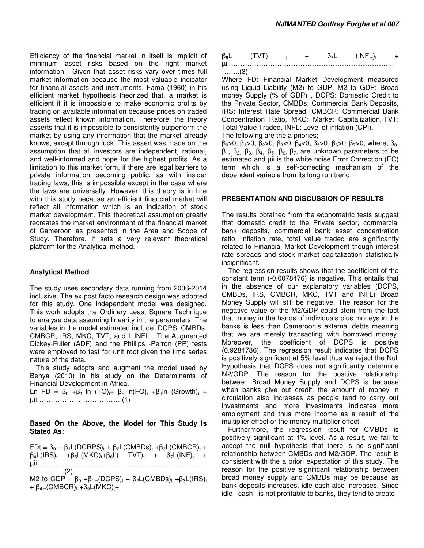Efficiency of the financial market in itself is implicit of minimum asset risks based on the right market information. Given that asset risks vary over times full market information because the most valuable indicator for financial assets and instruments. Fama (1960) in his efficient market hypothesis theorized that, a market is efficient if it is impossible to make economic profits by trading on available information because prices on traded assets reflect known information. Therefore, the theory asserts that it is impossible to consistently outperform the market by using any information that the market already knows, except through luck. This assert was made on the assumption that all investors are independent, rational, and well-informed and hope for the highest profits. As a limitation to this market form, if there are legal barriers to private information becoming public, as with insider trading laws, this is impossible except in the case where the laws are universally. However, this theory is in line with this study because an efficient financial market will reflect all information which is an indication of stock market development. This theoretical assumption greatly recreates the market environment of the financial market of Cameroon as presented in the Area and Scope of Study. Therefore, it sets a very relevant theoretical platform for the Analytical method.

### **Analytical Method**

The study uses secondary data running from 2006-2014 inclusive. The ex post facto research design was adopted for this study. One independent model was designed. This work adopts the Ordinary Least Square Technique to analyse data assuming linearity in the parameters. The variables in the model estimated include; DCPS, CMBDs, CMBCR, IRS, MKC, TVT, and L.INFL. The Augmented Dickey-Fuller (ADF) and the Phillips -Perron (PP) tests were employed to test for unit root given the time series nature of the data.

This study adopts and augment the model used by Benya (2010) in his study on the Determinants of Financial Development in Africa.

Ln FD =  $\beta_0$  +β<sub>1</sub> ln (TO)<sub>i</sub>+ β<sub>2</sub> ln(FO)<sub>i</sub> +β<sub>3</sub>ln (Growth)<sub>i</sub> + µii……………………………….(1)

### **Based On the Above, the Model for This Study Is Stated As:**

 $FDt = \beta_0 + \beta_1 L (DCRPS)_t + \beta_2 L (CMBDs)_t + \beta_3 L (CMBCR)_t +$  $\beta_4 L (IRS)_t$  + $\beta_5 L (MKC)_t + \beta_6 L (TVT)_t$  +  $\beta_7 L (INF)_t$  + µii……………………………………………………………… ……………(2) M2 to GDP =  $\beta_0$  +β<sub>1</sub>L(DCPS)<sub>t</sub> + β<sub>2</sub>L(CMBDs)<sub>t</sub> +β<sub>3</sub>L(IRS)<sub>t</sub>  $+ \beta_4 L$ (CMBCR)<sub>t</sub> + $\beta_5 L$ (MKC)<sub>t</sub>+



Where FD: Financial Market Development measured using Liquid Liability (M2) to GDP, M2 to GDP: Broad money Supply (% of GDP) , DCPS: Domestic Credit to the Private Sector, CMBDs: Commercial Bank Deposits, IRS: Interest Rate Spread, CMBCR: Commercial Bank Concentration Ratio, MKC: Market Capitalization, TVT: Total Value Traded, INFL: Level of inflation (CPI).

The following are the a priories;

 $\beta_0$  > 0,  $\beta_1$  > 0,  $\beta_2$  > 0,  $\beta_3$  < 0,  $\beta_4$  < 0,  $\beta_5$  > 0,  $\beta_6$  > 0,  $\beta_7$  > 0, where;  $\beta_0$ ,  $β_1$ ,  $β_2$ ,  $β_3$ ,  $β_4$ ,  $β_5$ ,  $β_6$ ,  $β_7$ , are unknown parameters to be estimated and  $\mu$ ii is the white noise Error Correction (EC) term which is a self-correcting mechanism of the dependent variable from its long run trend.

#### **PRESENTATION AND DISCUSSION OF RESULTS**

The results obtained from the econometric tests suggest that domestic credit to the Private sector, commercial bank deposits, commercial bank asset concentration ratio, inflation rate, total value traded are significantly related to Financial Market Development though interest rate spreads and stock market capitalization statistically insignificant.

The regression results shows that the coefficient of the constant term (-0.0078476) is negative. This entails that in the absence of our explanatory variables (DCPS, CMBDs, IRS, CMBCR, MKC, TVT and INFL) Broad Money Supply will still be negative. The reason for the negative value of the M2/GDP could stem from the fact that money in the hands of individuals plus moneys in the banks is less than Cameroon's external debts meaning that we are merely transacting with borrowed money. Moreover, the coefficient of DCPS is positive (0.9284786). The regression result indicates that DCPS is positively significant at 5% level thus we reject the Null Hypothesis that DCPS does not significantly determine M2/GDP. The reason for the positive relationship between Broad Money Supply and DCPS is because when banks give out credit, the amount of money in circulation also increases as people tend to carry out investments and more investments indicates more employment and thus more income as a result of the multiplier effect or the money multiplier effect.

Furthermore, the regression result for CMBDs is positively significant at 1% level. As a result, we fail to accept the null hypothesis that there is no significant relationship between CMBDs and M2/GDP. The result is consistent with the a priori expectation of this study. The reason for the positive significant relationship between broad money supply and CMBDs may be because as bank deposits increases, idle cash also increases. Since idle cash is not profitable to banks, they tend to create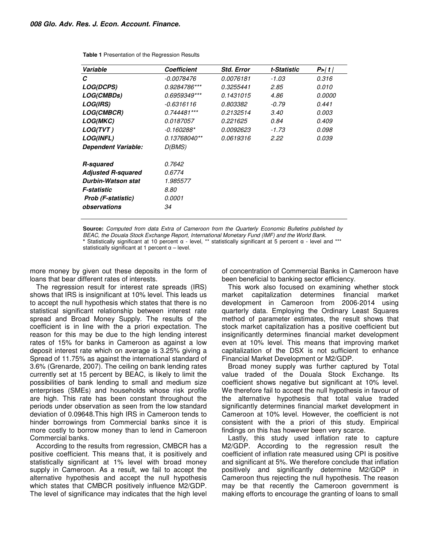| Variable                  | <b>Coefficient</b> | <b>Std. Error</b> | t-Statistic | P >  t        |
|---------------------------|--------------------|-------------------|-------------|---------------|
| С                         | -0.0078476         | 0.0076181         | -1.03       | 0.316         |
| <i><b>LOG(DCPS)</b></i>   | 0.9284786***       | 0.3255441         | 2.85        | 0.010         |
| LOG(CMBDs)                | 0.6959349***       | 0.1431015         | 4.86        | <i>0.0000</i> |
| <b>LOG(IRS)</b>           | $-0.6316116$       | 0.803382          | $-0.79$     | 0.441         |
| <b>LOG(CMBCR)</b>         | $0.744481***$      | 0.2132514         | 3.40        | <i>0.003</i>  |
| <i><b>LOG(MKC)</b></i>    | <i>0.0187057</i>   | 0.221625          | 0.84        | 0.409         |
| LOG(TVT)                  | -0.160288*         | <i>0.0092623</i>  | $-1.73$     | 0.098         |
| <b>LOG(INFL)</b>          | 0.13768040**       | 0.0619316         | 2.22        | 0.039         |
| Dependent Variable:       | D(BMS)             |                   |             |               |
| <b>R-squared</b>          | <i>0.7642</i>      |                   |             |               |
| <b>Adjusted R-squared</b> | 0.6774             |                   |             |               |
| Durbin-Watson stat        | 1.985577           |                   |             |               |
| <b>F-statistic</b>        | 8.80               |                   |             |               |
| Prob (F-statistic)        | 0.0001             |                   |             |               |
| observations              | 34                 |                   |             |               |

**Table 1** Presentation of the Regression Results

**Source:** *Computed from data Extra of Cameroon from the Quarterly Economic Bulletins published by BEAC, the Douala Stock Exchange Report, International Monetary Fund (IMF) and the World Bank.*  **\*** Statistically significant at 10 percent α - level, \*\* statistically significant at 5 percent α - level and \*\*\* statistically significant at 1 percent  $\alpha$  – level.

more money by given out these deposits in the form of loans that bear different rates of interests.

The regression result for interest rate spreads (IRS) shows that IRS is insignificant at 10% level. This leads us to accept the null hypothesis which states that there is no statistical significant relationship between interest rate spread and Broad Money Supply. The results of the coefficient is in line with the a priori expectation. The reason for this may be due to the high lending interest rates of 15% for banks in Cameroon as against a low deposit interest rate which on average is 3.25% giving a Spread of 11.75% as against the international standard of 3.6% (Grenarde, 2007). The ceiling on bank lending rates currently set at 15 percent by BEAC, is likely to limit the possibilities of bank lending to small and medium size enterprises (SMEs) and households whose risk profile are high. This rate has been constant throughout the periods under observation as seen from the low standard deviation of 0.09648.This high IRS in Cameroon tends to hinder borrowings from Commercial banks since it is more costly to borrow money than to lend in Cameroon Commercial banks.

According to the results from regression, CMBCR has a positive coefficient. This means that, it is positively and statistically significant at 1% level with broad money supply in Cameroon. As a result, we fail to accept the alternative hypothesis and accept the null hypothesis which states that CMBCR positively influence M2/GDP. The level of significance may indicates that the high level of concentration of Commercial Banks in Cameroon have been beneficial to banking sector efficiency.

This work also focused on examining whether stock market capitalization determines financial market development in Cameroon from 2006-2014 using quarterly data. Employing the Ordinary Least Squares method of parameter estimates, the result shows that stock market capitalization has a positive coefficient but insignificantly determines financial market development even at 10% level. This means that improving market capitalization of the DSX is not sufficient to enhance Financial Market Development or M2/GDP.

Broad money supply was further captured by Total value traded of the Douala Stock Exchange. Its coefficient shows negative but significant at 10% level. We therefore fail to accept the null hypothesis in favour of the alternative hypothesis that total value traded significantly determines financial market development in Cameroon at 10% level. However, the coefficient is not consistent with the a priori of this study. Empirical findings on this has however been very scarce.

Lastly, this study used inflation rate to capture M2/GDP. According to the regression result the coefficient of inflation rate measured using CPI is positive and significant at 5%. We therefore conclude that inflation positively and significantly determine M2/GDP in Cameroon thus rejecting the null hypothesis. The reason may be that recently the Cameroon government is making efforts to encourage the granting of loans to small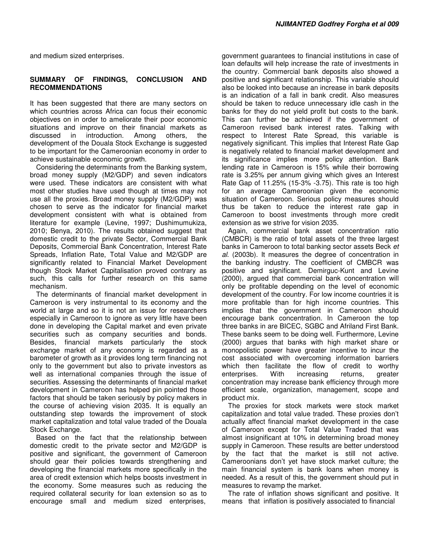and medium sized enterprises.

#### **SUMMARY OF FINDINGS, CONCLUSION AND RECOMMENDATIONS**

It has been suggested that there are many sectors on which countries across Africa can focus their economic objectives on in order to ameliorate their poor economic situations and improve on their financial markets as discussed in introduction. Among others, the development of the Douala Stock Exchange is suggested to be important for the Cameroonian economy in order to achieve sustainable economic growth.

Considering the determinants from the Banking system, broad money supply (M2/GDP) and seven indicators were used. These indicators are consistent with what most other studies have used though at times may not use all the proxies. Broad money supply (M2/GDP) was chosen to serve as the indicator for financial market development consistent with what is obtained from literature for example (Levine, 1997; Dushimumukiza, 2010; Benya, 2010). The results obtained suggest that domestic credit to the private Sector, Commercial Bank Deposits, Commercial Bank Concentration, Interest Rate Spreads, Inflation Rate, Total Value and M2/GDP are significantly related to Financial Market Development though Stock Market Capitalisation proved contrary as such, this calls for further research on this same mechanism.

The determinants of financial market development in Cameroon is very instrumental to its economy and the world at large and so it is not an issue for researchers especially in Cameroon to ignore as very little have been done in developing the Capital market and even private securities such as company securities and bonds. Besides, financial markets particularly the stock exchange market of any economy is regarded as a barometer of growth as it provides long term financing not only to the government but also to private investors as well as international companies through the issue of securities. Assessing the determinants of financial market development in Cameroon has helped pin pointed those factors that should be taken seriously by policy makers in the course of achieving vision 2035. It is equally an outstanding step towards the improvement of stock market capitalization and total value traded of the Douala Stock Exchange.

Based on the fact that the relationship between domestic credit to the private sector and M2/GDP is positive and significant, the government of Cameroon should gear their policies towards strengthening and developing the financial markets more specifically in the area of credit extension which helps boosts investment in the economy. Some measures such as reducing the required collateral security for loan extension so as to encourage small and medium sized enterprises,

government guarantees to financial institutions in case of loan defaults will help increase the rate of investments in the country. Commercial bank deposits also showed a positive and significant relationship. This variable should also be looked into because an increase in bank deposits is an indication of a fall in bank credit. Also measures should be taken to reduce unnecessary idle cash in the banks for they do not yield profit but costs to the bank. This can further be achieved if the government of Cameroon revised bank interest rates. Talking with respect to Interest Rate Spread, this variable is negatively significant. This implies that Interest Rate Gap is negatively related to financial market development and its significance implies more policy attention. Bank lending rate in Cameroon is 15% while their borrowing rate is 3.25% per annum giving which gives an Interest Rate Gap of 11.25% (15-3% -3.75). This rate is too high for an average Cameroonian given the economic situation of Cameroon. Serious policy measures should thus be taken to reduce the interest rate gap in Cameroon to boost investments through more credit extension as we strive for vision 2035.

Again, commercial bank asset concentration ratio (CMBCR) is the ratio of total assets of the three largest banks in Cameroon to total banking sector assets Beck *et al*. (2003b). It measures the degree of concentration in the banking industry. The coefficient of CMBCR was positive and significant. Demirguc-Kunt and Levine (2000), argued that commercial bank concentration will only be profitable depending on the level of economic development of the country. For low income countries it is more profitable than for high income countries. This implies that the government in Cameroon should encourage bank concentration. In Cameroon the top three banks in are BICEC, SGBC and Afriland First Bank. These banks seem to be doing well. Furthermore, Levine (2000) argues that banks with high market share or monopolistic power have greater incentive to incur the cost associated with overcoming information barriers which then facilitate the flow of credit to worthy enterprises. With increasing returns, greater concentration may increase bank efficiency through more efficient scale, organization, management, scope and product mix.

The proxies for stock markets were stock market capitalization and total value traded. These proxies don't actually affect financial market development in the case of Cameroon except for Total Value Traded that was almost insignificant at 10% in determining broad money supply in Cameroon. These results are better understood by the fact that the market is still not active. Cameroonians don't yet have stock market culture; the main financial system is bank loans when money is needed. As a result of this, the government should put in measures to revamp the market.

The rate of inflation shows significant and positive. It means that inflation is positively associated to financial